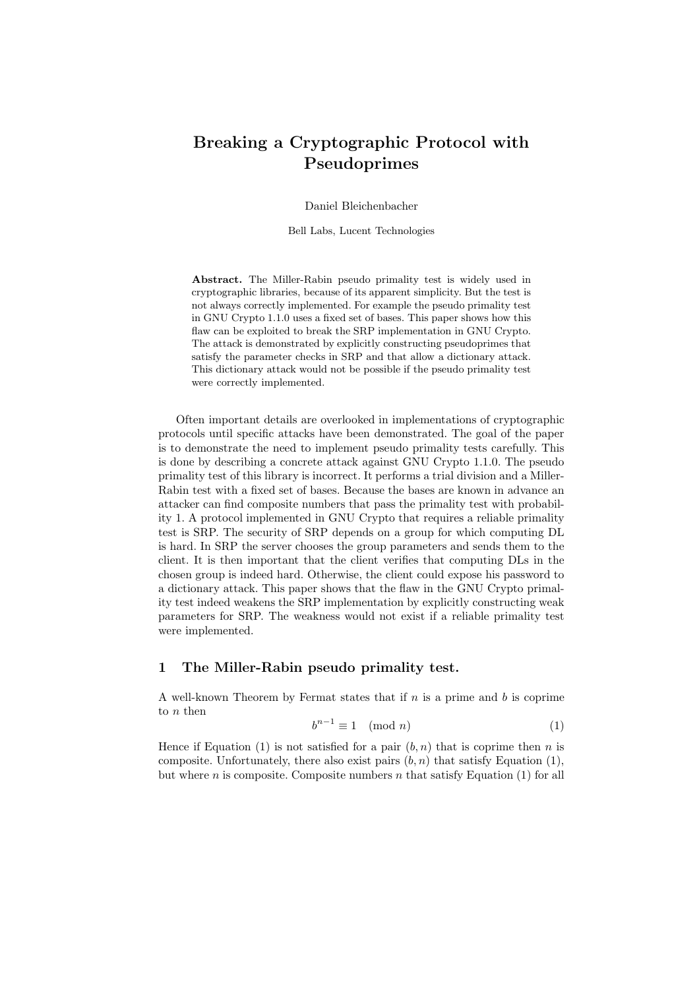# Breaking a Cryptographic Protocol with Pseudoprimes

Daniel Bleichenbacher

Bell Labs, Lucent Technologies

Abstract. The Miller-Rabin pseudo primality test is widely used in cryptographic libraries, because of its apparent simplicity. But the test is not always correctly implemented. For example the pseudo primality test in GNU Crypto 1.1.0 uses a fixed set of bases. This paper shows how this flaw can be exploited to break the SRP implementation in GNU Crypto. The attack is demonstrated by explicitly constructing pseudoprimes that satisfy the parameter checks in SRP and that allow a dictionary attack. This dictionary attack would not be possible if the pseudo primality test were correctly implemented.

Often important details are overlooked in implementations of cryptographic protocols until specific attacks have been demonstrated. The goal of the paper is to demonstrate the need to implement pseudo primality tests carefully. This is done by describing a concrete attack against GNU Crypto 1.1.0. The pseudo primality test of this library is incorrect. It performs a trial division and a Miller-Rabin test with a fixed set of bases. Because the bases are known in advance an attacker can find composite numbers that pass the primality test with probability 1. A protocol implemented in GNU Crypto that requires a reliable primality test is SRP. The security of SRP depends on a group for which computing DL is hard. In SRP the server chooses the group parameters and sends them to the client. It is then important that the client verifies that computing DLs in the chosen group is indeed hard. Otherwise, the client could expose his password to a dictionary attack. This paper shows that the flaw in the GNU Crypto primality test indeed weakens the SRP implementation by explicitly constructing weak parameters for SRP. The weakness would not exist if a reliable primality test were implemented.

## 1 The Miller-Rabin pseudo primality test.

A well-known Theorem by Fermat states that if  $n$  is a prime and  $b$  is coprime to  $n$  then

$$
b^{n-1} \equiv 1 \pmod{n} \tag{1}
$$

Hence if Equation (1) is not satisfied for a pair  $(b, n)$  that is coprime then n is composite. Unfortunately, there also exist pairs  $(b, n)$  that satisfy Equation (1), but where n is composite. Composite numbers n that satisfy Equation  $(1)$  for all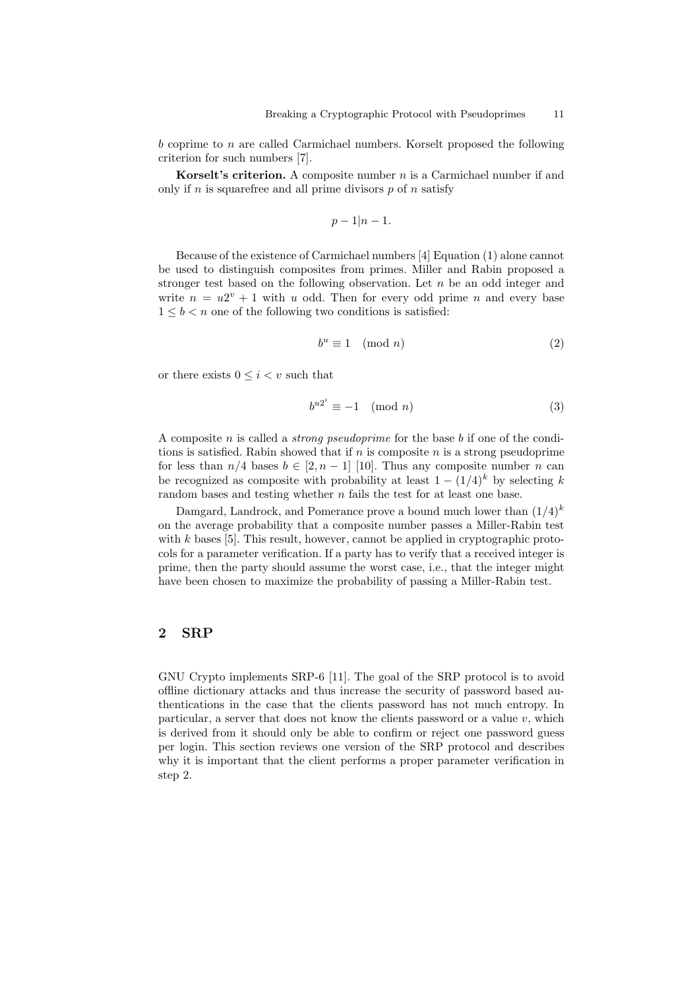b coprime to n are called Carmichael numbers. Korselt proposed the following criterion for such numbers [7].

Korselt's criterion. A composite number  $n$  is a Carmichael number if and only if  $n$  is squarefree and all prime divisors  $p$  of  $n$  satisfy

$$
p-1|n-1.
$$

Because of the existence of Carmichael numbers [4] Equation (1) alone cannot be used to distinguish composites from primes. Miller and Rabin proposed a stronger test based on the following observation. Let  $n$  be an odd integer and write  $n = u2^v + 1$  with u odd. Then for every odd prime n and every base  $1 \leq b < n$  one of the following two conditions is satisfied:

$$
b^u \equiv 1 \pmod{n} \tag{2}
$$

or there exists  $0 \leq i < v$  such that

$$
b^{u2^i} \equiv -1 \pmod{n} \tag{3}
$$

A composite n is called a strong pseudoprime for the base b if one of the conditions is satisfied. Rabin showed that if  $n$  is composite  $n$  is a strong pseudoprime for less than  $n/4$  bases  $b \in [2, n-1]$  [10]. Thus any composite number n can be recognized as composite with probability at least  $1 - (1/4)^k$  by selecting k random bases and testing whether  $n$  fails the test for at least one base.

Damgard, Landrock, and Pomerance prove a bound much lower than  $(1/4)^k$ on the average probability that a composite number passes a Miller-Rabin test with  $k$  bases [5]. This result, however, cannot be applied in cryptographic protocols for a parameter verification. If a party has to verify that a received integer is prime, then the party should assume the worst case, i.e., that the integer might have been chosen to maximize the probability of passing a Miller-Rabin test.

#### 2 SRP

GNU Crypto implements SRP-6 [11]. The goal of the SRP protocol is to avoid offline dictionary attacks and thus increase the security of password based authentications in the case that the clients password has not much entropy. In particular, a server that does not know the clients password or a value  $v$ , which is derived from it should only be able to confirm or reject one password guess per login. This section reviews one version of the SRP protocol and describes why it is important that the client performs a proper parameter verification in step 2.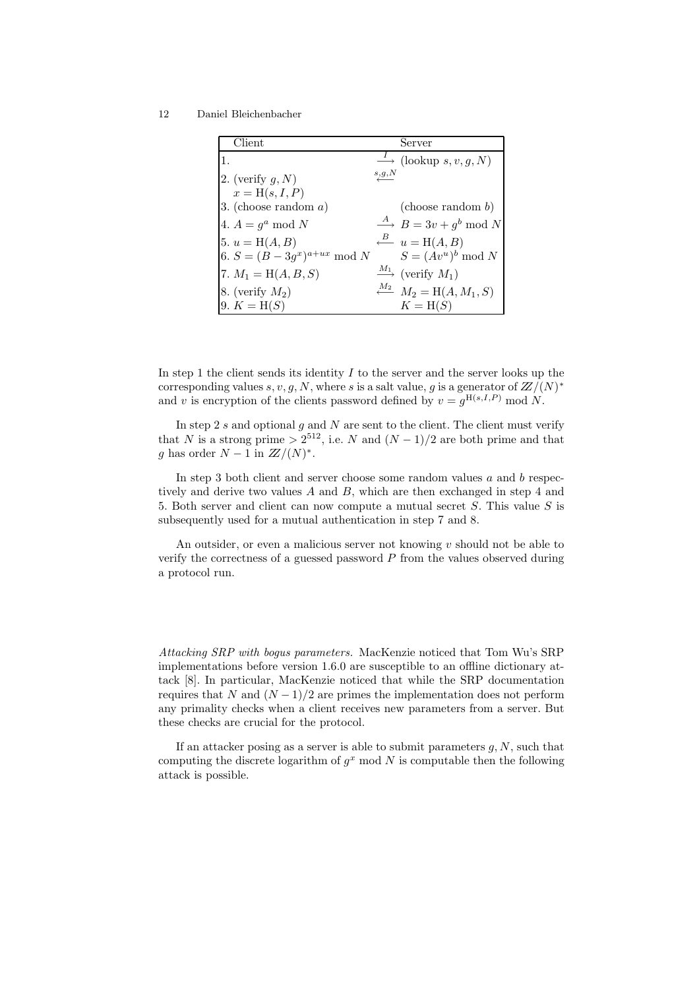#### 12 Daniel Bleichenbacher

| Client                           |         | Server                                               |
|----------------------------------|---------|------------------------------------------------------|
|                                  |         | $\rightarrow$ (lookup s, v, g, N)                    |
| 2. (verify $g, N$ )              | s, g, N |                                                      |
| $x = H(s, I, P)$                 |         |                                                      |
| 3. (choose random $a$ )          |         | (choose random b)                                    |
| 4. $A = g^a \mod N$              |         | $\stackrel{A}{\longrightarrow} B = 3v + g^b \bmod N$ |
| 5. $u = H(A, B)$                 |         | $\stackrel{B}{\longleftarrow} u = H(A, B)$           |
| 6. $S = (B - 3g^x)^{a+ux}$ mod N |         | $S = (Av^u)^b \mod N$                                |
| 7. $M_1 = H(A, B, S)$            |         | $\stackrel{M_1}{\longrightarrow}$ (verify $M_1$ )    |
| 8. (verify $M_2$ )               |         | $\stackrel{M_2}{\longleftarrow} M_2 = H(A, M_1, S)$  |
| 9. $K = H(S)$                    |         | $K = H(S)$                                           |

In step 1 the client sends its identity  $I$  to the server and the server looks up the corresponding values  $s, v, g, N$ , where s is a salt value, g is a generator of  $\mathbb{Z}/(N)^*$ and v is encryption of the clients password defined by  $v = g^{H(s,I,P)}$  mod N.

In step 2 s and optional q and N are sent to the client. The client must verify that N is a strong prime >  $2^{512}$ , i.e. N and  $(N-1)/2$  are both prime and that g has order  $N-1$  in  $\mathbb{Z}/(N)^*$ .

In step 3 both client and server choose some random values  $a$  and  $b$  respectively and derive two values A and B, which are then exchanged in step 4 and 5. Both server and client can now compute a mutual secret S. This value S is subsequently used for a mutual authentication in step 7 and 8.

An outsider, or even a malicious server not knowing  $v$  should not be able to verify the correctness of a guessed password  $P$  from the values observed during a protocol run.

Attacking SRP with bogus parameters. MacKenzie noticed that Tom Wu's SRP implementations before version 1.6.0 are susceptible to an offline dictionary attack [8]. In particular, MacKenzie noticed that while the SRP documentation requires that N and  $(N-1)/2$  are primes the implementation does not perform any primality checks when a client receives new parameters from a server. But these checks are crucial for the protocol.

If an attacker posing as a server is able to submit parameters  $q, N$ , such that computing the discrete logarithm of  $g^x$  mod N is computable then the following attack is possible.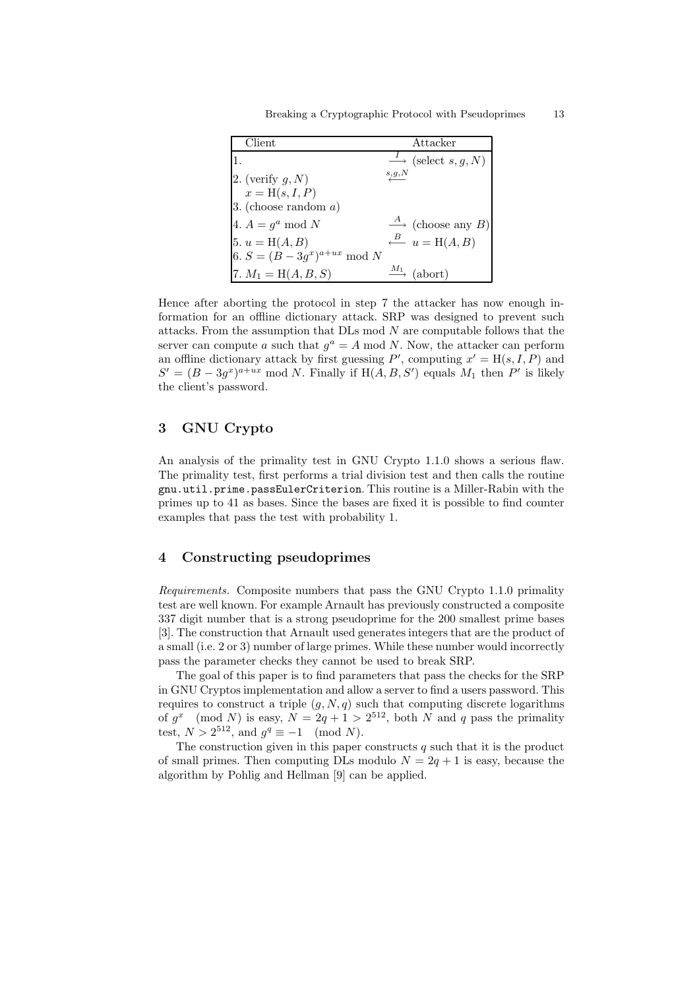| Client                           | Attacker                                       |
|----------------------------------|------------------------------------------------|
|                                  | $\longrightarrow$ (select s, g, N)             |
| 2. (verify $g, N$ )              | s, g, N                                        |
| $x = H(s, I, P)$                 |                                                |
| 3. (choose random $a$ )          |                                                |
| 4. $A = g^a \mod N$              | $\stackrel{A}{\longrightarrow}$ (choose any B) |
| $5. u = H(A, B)$                 | $\stackrel{B}{\longleftarrow} u = H(A, B)$     |
| 6. $S = (B - 3g^x)^{a+ux}$ mod N |                                                |
| 7. $M_1 = H(A, B, S)$            | $\stackrel{M_1}{\longrightarrow}$ (abort)      |

Hence after aborting the protocol in step 7 the attacker has now enough information for an offline dictionary attack. SRP was designed to prevent such attacks. From the assumption that  $\text{DLs}$  mod N are computable follows that the server can compute a such that  $g^a = A \mod N$ . Now, the attacker can perform an offline dictionary attack by first guessing  $P'$ , computing  $x' = H(s, I, P)$  and  $S' = (B - 3g<sup>x</sup>)<sup>a+ux</sup> \mod N$ . Finally if  $H(A, B, S')$  equals  $M<sub>1</sub>$  then P' is likely the client's password.

# 3 GNU Crypto

An analysis of the primality test in GNU Crypto 1.1.0 shows a serious flaw. The primality test, first performs a trial division test and then calls the routine gnu.util.prime.passEulerCriterion. This routine is a Miller-Rabin with the primes up to 41 as bases. Since the bases are fixed it is possible to find counter examples that pass the test with probability 1.

# 4 Constructing pseudoprimes

Requirements. Composite numbers that pass the GNU Crypto 1.1.0 primality test are well known. For example Arnault has previously constructed a composite 337 digit number that is a strong pseudoprime for the 200 smallest prime bases [3]. The construction that Arnault used generates integers that are the product of a small (i.e. 2 or 3) number of large primes. While these number would incorrectly pass the parameter checks they cannot be used to break SRP.

The goal of this paper is to find parameters that pass the checks for the SRP in GNU Cryptos implementation and allow a server to find a users password. This requires to construct a triple  $(g, N, q)$  such that computing discrete logarithms of  $g^x \pmod{N}$  is easy,  $N = 2q + 1 > 2^{512}$ , both N and q pass the primality test,  $N > 2^{512}$ , and  $g^q \equiv -1 \pmod{N}$ .

The construction given in this paper constructs  $q$  such that it is the product of small primes. Then computing DLs modulo  $N = 2q + 1$  is easy, because the algorithm by Pohlig and Hellman [9] can be applied.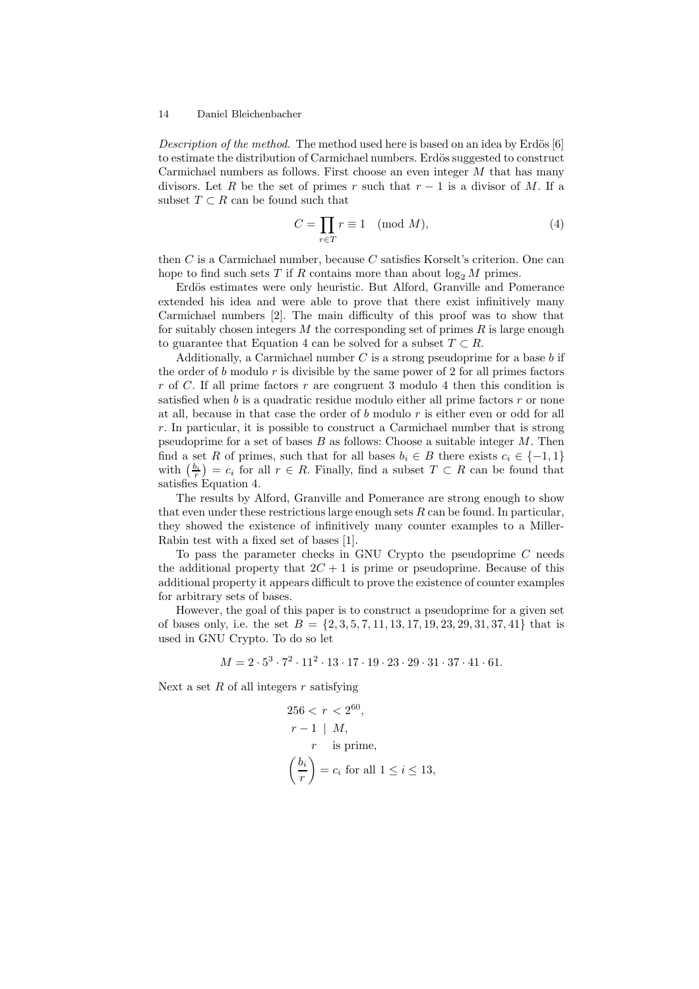#### 14 Daniel Bleichenbacher

Description of the method. The method used here is based on an idea by Erdös  $[6]$ to estimate the distribution of Carmichael numbers. Erdös suggested to construct Carmichael numbers as follows. First choose an even integer  $M$  that has many divisors. Let R be the set of primes r such that  $r - 1$  is a divisor of M. If a subset  $T \subset R$  can be found such that

$$
C = \prod_{r \in T} r \equiv 1 \pmod{M},\tag{4}
$$

then C is a Carmichael number, because C satisfies Korselt's criterion. One can hope to find such sets T if R contains more than about  $\log_2 M$  primes.

Erdös estimates were only heuristic. But Alford, Granville and Pomerance extended his idea and were able to prove that there exist infinitively many Carmichael numbers [2]. The main difficulty of this proof was to show that for suitably chosen integers  $M$  the corresponding set of primes  $R$  is large enough to guarantee that Equation 4 can be solved for a subset  $T \subset R$ .

Additionally, a Carmichael number  $C$  is a strong pseudoprime for a base  $b$  if the order of b modulo  $r$  is divisible by the same power of 2 for all primes factors r of C. If all prime factors r are congruent 3 modulo 4 then this condition is satisfied when  $b$  is a quadratic residue modulo either all prime factors  $r$  or none at all, because in that case the order of  $b$  modulo  $r$  is either even or odd for all r. In particular, it is possible to construct a Carmichael number that is strong pseudoprime for a set of bases  $B$  as follows: Choose a suitable integer  $M$ . Then find a set R of primes, such that for all bases  $b_i \in B$  there exists  $c_i \in \{-1,1\}$ with  $\left(\frac{b_i}{r}\right) = c_i$  for all  $r \in R$ . Finally, find a subset  $T \subset R$  can be found that satisfies Equation 4.

The results by Alford, Granville and Pomerance are strong enough to show that even under these restrictions large enough sets  $R$  can be found. In particular, they showed the existence of infinitively many counter examples to a Miller-Rabin test with a fixed set of bases [1].

To pass the parameter checks in GNU Crypto the pseudoprime  $C$  needs the additional property that  $2C + 1$  is prime or pseudoprime. Because of this additional property it appears difficult to prove the existence of counter examples for arbitrary sets of bases.

However, the goal of this paper is to construct a pseudoprime for a given set of bases only, i.e. the set  $B = \{2, 3, 5, 7, 11, 13, 17, 19, 23, 29, 31, 37, 41\}$  that is used in GNU Crypto. To do so let

$$
M = 2 \cdot 5^3 \cdot 7^2 \cdot 11^2 \cdot 13 \cdot 17 \cdot 19 \cdot 23 \cdot 29 \cdot 31 \cdot 37 \cdot 41 \cdot 61.
$$

Next a set  $R$  of all integers  $r$  satisfying

$$
256 < r < 2^{60},
$$
\n
$$
r - 1 \mid M,
$$
\n
$$
r \quad \text{is prime},
$$
\n
$$
\left(\frac{b_i}{r}\right) = c_i \text{ for all } 1 \le i \le 13,
$$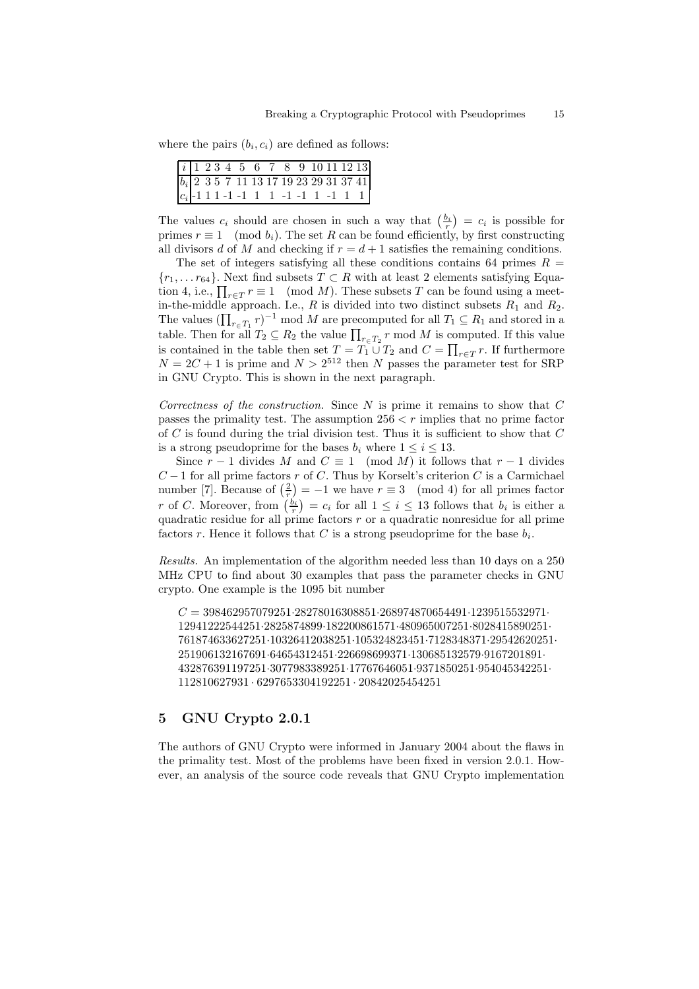where the pairs  $(b_i, c_i)$  are defined as follows:

|  |  |  | $i$ 1 2 3 4 5 6 7 8 9 10 11 12 13                                                                                                                                   |  |  |  |
|--|--|--|---------------------------------------------------------------------------------------------------------------------------------------------------------------------|--|--|--|
|  |  |  |                                                                                                                                                                     |  |  |  |
|  |  |  | $\begin{array}{c cccccccc} b_i & 2 & 3 & 5 & 7 & 11 & 13 & 17 & 19 & 23 & 29 & 31 & 37 & 41 \\ c_i & 1 & 1 & 1 & -1 & 1 & 1 & -1 & -1 & 1 & -1 & 1 & 1 \end{array}$ |  |  |  |

The values  $c_i$  should are chosen in such a way that  $\left(\frac{b_i}{r}\right) = c_i$  is possible for primes  $r \equiv 1 \pmod{b_i}$ . The set R can be found efficiently, by first constructing all divisors d of M and checking if  $r = d + 1$  satisfies the remaining conditions.

The set of integers satisfying all these conditions contains 64 primes  $R =$  ${r_1, \ldots r_{64}}$ . Next find subsets  $T \subset R$  with at least 2 elements satisfying Equation 4, i.e.,  $\prod_{r \in T} r \equiv 1 \pmod{M}$ . These subsets T can be found using a meetin-the-middle approach. I.e., R is divided into two distinct subsets  $R_1$  and  $R_2$ . The values  $(\prod_{r \in T_1} r)^{-1}$  mod M are precomputed for all  $T_1 \subseteq R_1$  and stored in a table. Then for all  $T_2 \subseteq R_2$  the value  $\prod_{r \in T_2} r \mod M$  is computed. If this value is contained in the table then set  $T = T_1 \cup T_2$  and  $C = \prod_{r \in T} r$ . If furthermore  $N = 2C + 1$  is prime and  $N > 2^{512}$  then N passes the parameter test for SRP in GNU Crypto. This is shown in the next paragraph.

Correctness of the construction. Since  $N$  is prime it remains to show that  $C$ passes the primality test. The assumption  $256 < r$  implies that no prime factor of  $C$  is found during the trial division test. Thus it is sufficient to show that  $C$ is a strong pseudoprime for the bases  $b_i$  where  $1 \leq i \leq 13$ .

Since  $r - 1$  divides M and  $C \equiv 1 \pmod{M}$  it follows that  $r - 1$  divides  $C-1$  for all prime factors r of C. Thus by Korselt's criterion C is a Carmichael number [7]. Because of  $\left(\frac{2}{r}\right) = -1$  we have  $r \equiv 3 \pmod{4}$  for all primes factor r of C. Moreover, from  $\left(\frac{b_i}{r}\right) = c_i$  for all  $1 \leq i \leq 13$  follows that  $b_i$  is either a quadratic residue for all prime factors  $r$  or a quadratic nonresidue for all prime factors r. Hence it follows that C is a strong pseudoprime for the base  $b_i$ .

Results. An implementation of the algorithm needed less than 10 days on a 250 MHz CPU to find about 30 examples that pass the parameter checks in GNU crypto. One example is the 1095 bit number

 $C = 398462957079251.28278016308851.268974870654491.1239515532971.$ ·2825874899·182200861571·480965007251·8028415890251· ·10326412038251·105324823451·7128348371·29542620251· ·64654312451·226698699371·130685132579·9167201891· ·3077983389251·17767646051·9371850251·954045342251· · 6297653304192251 · 20842025454251

# 5 GNU Crypto 2.0.1

The authors of GNU Crypto were informed in January 2004 about the flaws in the primality test. Most of the problems have been fixed in version 2.0.1. However, an analysis of the source code reveals that GNU Crypto implementation